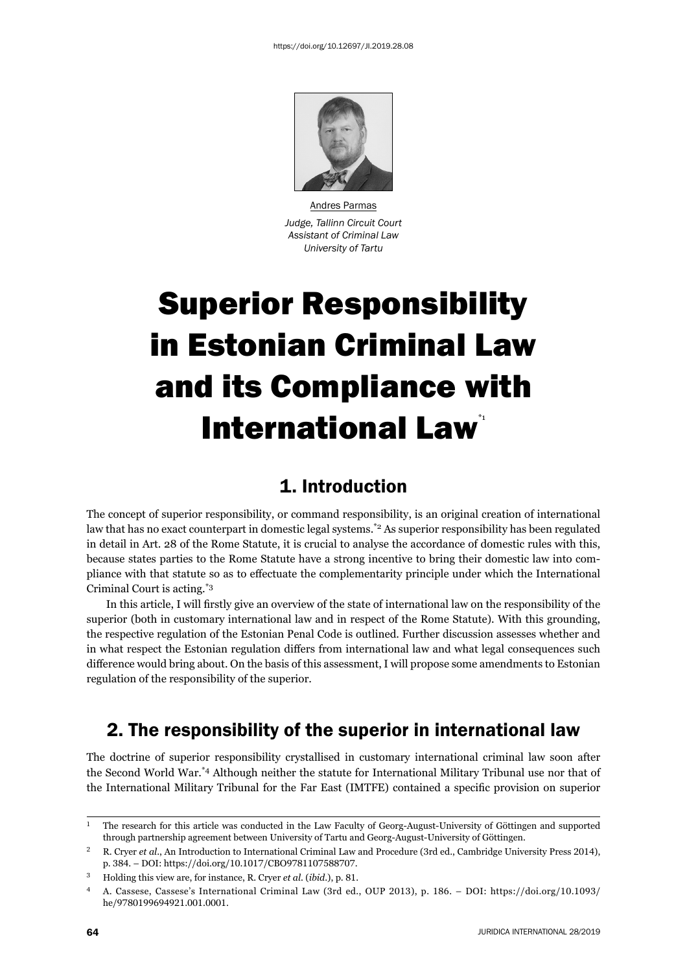

Andres Parmas *Judge, Tallinn Circuit Court Assistant of Criminal Law University of Tartu*

# Superior Responsibility in Estonian Criminal Law and its Compliance with **International Law<sup>\*</sup>**

## 1. Introduction

The concept of superior responsibility, or command responsibility, is an original creation of international law that has no exact counterpart in domestic legal systems.\*2 As superior responsibility has been regulated in detail in Art. 28 of the Rome Statute, it is crucial to analyse the accordance of domestic rules with this, because states parties to the Rome Statute have a strong incentive to bring their domestic law into compliance with that statute so as to effectuate the complementarity principle under which the International Criminal Court is acting.\*3

In this article, I will firstly give an overview of the state of international law on the responsibility of the superior (both in customary international law and in respect of the Rome Statute). With this grounding, the respective regulation of the Estonian Penal Code is outlined. Further discussion assesses whether and in what respect the Estonian regulation differs from international law and what legal consequences such difference would bring about. On the basis of this assessment, I will propose some amendments to Estonian regulation of the responsibility of the superior.

## 2. The responsibility of the superior in international law

The doctrine of superior responsibility crystallised in customary international criminal law soon after the Second World War.\*4 Although neither the statute for International Military Tribunal use nor that of the International Military Tribunal for the Far East (IMTFE) contained a specifi c provision on superior

 $<sup>1</sup>$  The research for this article was conducted in the Law Faculty of Georg-August-University of Göttingen and supported</sup> through partnership agreement between University of Tartu and Georg-August-University of Göttingen.

<sup>&</sup>lt;sup>2</sup> R. Cryer *et al.*, An Introduction to International Criminal Law and Procedure (3rd ed., Cambridge University Press 2014), p. 384. – DOI: https://doi.org/10.1017/CBO9781107588707.

<sup>&</sup>lt;sup>3</sup> Holding this view are, for instance, R. Cryer *et al.* (*ibid.*), p. 81.

<sup>&</sup>lt;sup>4</sup> A. Cassese, Cassese's International Criminal Law (3rd ed., OUP 2013), p. 186. – DOI: https://doi.org/10.1093/ he/9780199694921.001.0001.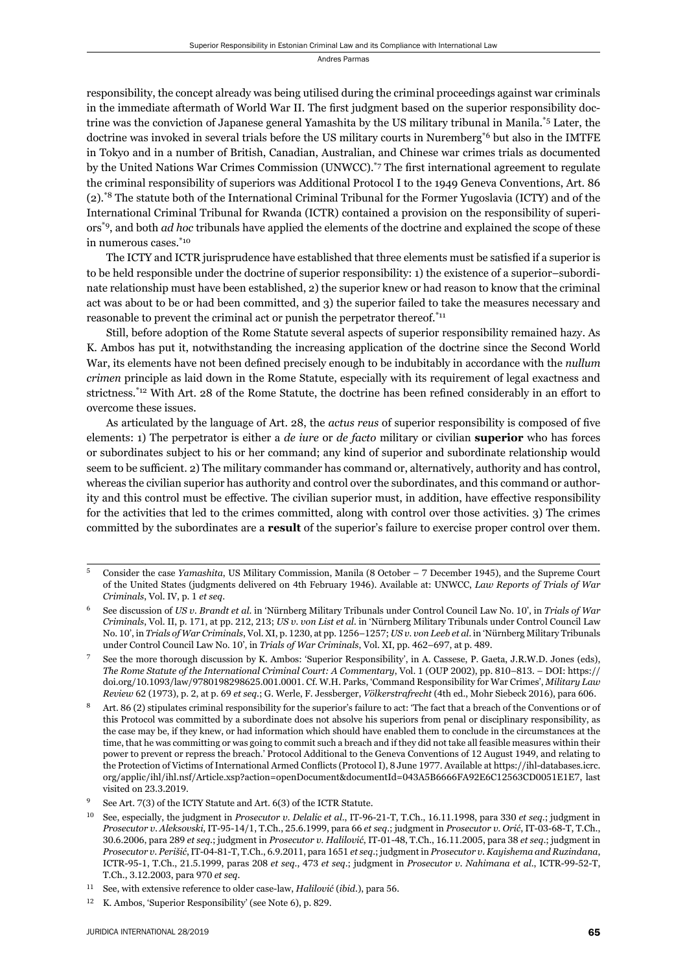responsibility, the concept already was being utilised during the criminal proceedings against war criminals in the immediate aftermath of World War II. The first judgment based on the superior responsibility doctrine was the conviction of Japanese general Yamashita by the US military tribunal in Manila.\*5 Later, the doctrine was invoked in several trials before the US military courts in Nuremberg<sup>\*6</sup> but also in the IMTFE in Tokyo and in a number of British, Canadian, Australian, and Chinese war crimes trials as documented by the United Nations War Crimes Commission (UNWCC).<sup> $*$ 7</sup> The first international agreement to regulate the criminal responsibility of superiors was Additional Protocol I to the 1949 Geneva Conventions, Art. 86 (2).\*8 The statute both of the International Criminal Tribunal for the Former Yugoslavia (ICTY) and of the International Criminal Tribunal for Rwanda (ICTR) contained a provision on the responsibility of superiors\*9, and both *ad hoc* tribunals have applied the elements of the doctrine and explained the scope of these in numerous cases.\*10

The ICTY and ICTR jurisprudence have established that three elements must be satisfied if a superior is to be held responsible under the doctrine of superior responsibility: 1) the existence of a superior–subordinate relationship must have been established, 2) the superior knew or had reason to know that the criminal act was about to be or had been committed, and 3) the superior failed to take the measures necessary and reasonable to prevent the criminal act or punish the perpetrator thereof.\*11

Still, before adoption of the Rome Statute several aspects of superior responsibility remained hazy. As K. Ambos has put it, notwithstanding the increasing application of the doctrine since the Second World War, its elements have not been defined precisely enough to be indubitably in accordance with the *nullum crimen* principle as laid down in the Rome Statute, especially with its requirement of legal exactness and strictness.<sup>\*12</sup> With Art. 28 of the Rome Statute, the doctrine has been refined considerably in an effort to overcome these issues.

As articulated by the language of Art. 28, the *actus reus* of superior responsibility is composed of five elements: 1) The perpetrator is either a *de iure* or *de facto* military or civilian **superior** who has forces or subordinates subject to his or her command; any kind of superior and subordinate relationship would seem to be sufficient. 2) The military commander has command or, alternatively, authority and has control, whereas the civilian superior has authority and control over the subordinates, and this command or authority and this control must be effective. The civilian superior must, in addition, have effective responsibility for the activities that led to the crimes committed, along with control over those activities. 3) The crimes committed by the subordinates are a **result** of the superior's failure to exercise proper control over them.

<sup>&</sup>lt;sup>5</sup> Consider the case *Yamashita*, US Military Commission, Manila (8 October – 7 December 1945), and the Supreme Court of the United States (judgments delivered on 4th February 1946). Available at: UNWCC, *Law Reports of Trials of War Criminals*, Vol. IV, p. 1 *et seq.* 

See discussion of *US v. Brandt et al.* in 'Nürnberg Military Tribunals under Control Council Law No. 10', in *Trials of War Criminals*, Vol. II, p. 171, at pp. 212, 213; *US v. von List et al.* in 'Nürnberg Military Tribunals under Control Council Law No. 10', in *Trials of War Criminals*, Vol. XI, p. 1230, at pp. 1256–1257; *US v. von Leeb et al.* in 'Nürnberg Military Tribunals under Control Council Law No. 10', in *Trials of War Criminals*, Vol. XI, pp. 462-697, at p. 489.

See the more thorough discussion by K. Ambos: 'Superior Responsibility', in A. Cassese, P. Gaeta, J.R.W.D. Jones (eds), *The Rome Statute of the International Criminal Court: A Commentary, Vol. 1 (OUP 2002), pp. 810-813. – DOI: https://* doi.org/10.1093/law/9780198298625.001.0001. Cf. W.H. Parks, 'Command Responsibility for War Crimes', *Military Law Review 62 (1973), p. 2, at p. 69 et seq.; G. Werle, F. Jessberger, <i>Völkerstrafrecht* (4th ed., Mohr Siebeck 2016), para 606.

Art. 86 (2) stipulates criminal responsibility for the superior's failure to act: 'The fact that a breach of the Conventions or of this Protocol was committed by a subordinate does not absolve his superiors from penal or disciplinary responsibility, as the case may be, if they knew, or had information which should have enabled them to conclude in the circumstances at the time, that he was committing or was going to commit such a breach and if they did not take all feasible measures within their power to prevent or repress the breach.' Protocol Additional to the Geneva Conventions of 12 August 1949, and relating to the Protection of Victims of International Armed Conflicts (Protocol I), 8 June 1977. Available at https://ihl-databases.icrc. org/applic/ihl/ihl.nsf/Article.xsp?action=openDocument&documentId=043A5B6666FA92E6C12563CD0051E1E7, last visited on 23.3.2019.

See Art.  $7(3)$  of the ICTY Statute and Art.  $6(3)$  of the ICTR Statute.

<sup>&</sup>lt;sup>10</sup> See, especially, the judgment in *Prosecutor v. Delalic et al.*, IT-96-21-T, T.Ch., 16.11.1998, para 330 *et seq.*; judgment in *Prosecutor v. Aleksovski*, IT-ɺɶ-ɲɵ/ɲ, T.Ch., ɳɶ.ɷ.ɲɺɺɺ, para ɷɷ *et seq*.; judgment in *Prosecutor v. Orić*, IT-ɱɴ-ɷɹ-T, T.Ch., 30.6.2006, para 289 et seq.; judgment in *Prosecutor v. Halilović*, IT-01-48, T.Ch., 16.11.2005, para 38 et seq.; judgment in *Prosecutor v. Perišić*, IT-ɱɵ-ɹɲ-T, T.Ch., ɷ.ɺ.ɳɱɲɲ, para ɲɷɶɲ *et seq*.; judgment in *Prosecutor v. Kayishema and Ruzindana*, ICTR-95-1, T.Ch., 21.5.1999, paras 208 et seq., 473 et seq.; judgment in *Prosecutor v. Nahimana et al.*, ICTR-99-52-T, T.Ch., 3.12.2003, para 970 et seq.

<sup>&</sup>lt;sup>11</sup> See, with extensive reference to older case-law, *Halilović* (*ibid.*), para 56.

 $12$  K. Ambos, 'Superior Responsibility' (see Note 6), p. 829.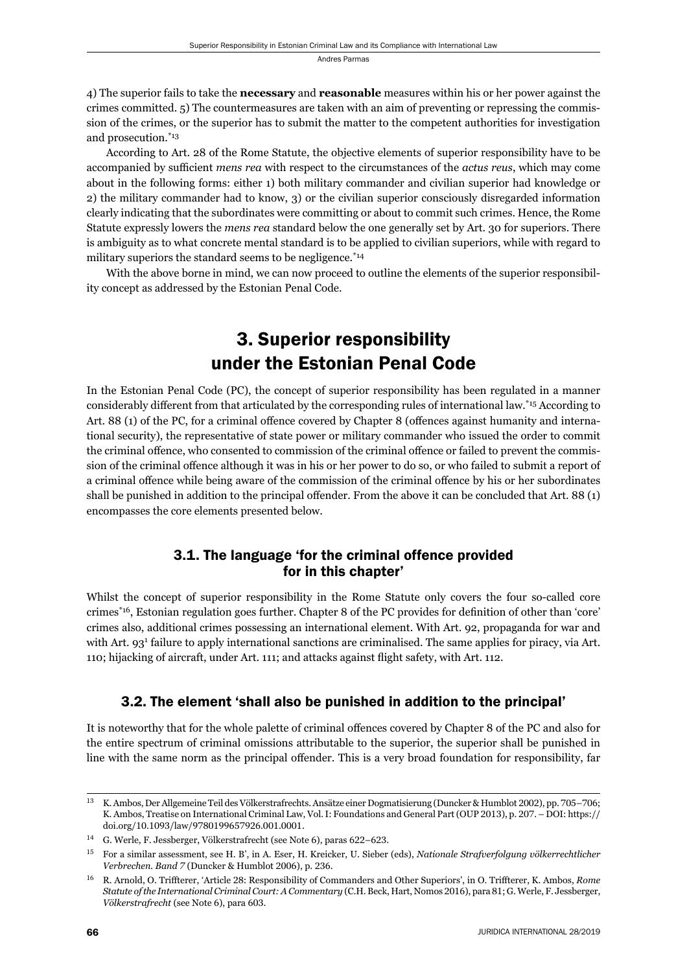4) The superior fails to take the **necessary** and **reasonable** measures within his or her power against the crimes committed. 5) The countermeasures are taken with an aim of preventing or repressing the commission of the crimes, or the superior has to submit the matter to the competent authorities for investigation and prosecution.\*13

According to Art. 28 of the Rome Statute, the objective elements of superior responsibility have to be accompanied by sufficient *mens rea* with respect to the circumstances of the *actus reus*, which may come about in the following forms: either 1) both military commander and civilian superior had knowledge or 2) the military commander had to know, 3) or the civilian superior consciously disregarded information clearly indicating that the subordinates were committing or about to commit such crimes. Hence, the Rome Statute expressly lowers the *mens rea* standard below the one generally set by Art. 30 for superiors. There is ambiguity as to what concrete mental standard is to be applied to civilian superiors, while with regard to military superiors the standard seems to be negligence.<sup>\*14</sup>

With the above borne in mind, we can now proceed to outline the elements of the superior responsibility concept as addressed by the Estonian Penal Code.

# 3. Superior responsibility under the Estonian Penal Code

In the Estonian Penal Code (PC), the concept of superior responsibility has been regulated in a manner considerably different from that articulated by the corresponding rules of international law.\*15 According to Art. 88 (1) of the PC, for a criminal offence covered by Chapter 8 (offences against humanity and international security), the representative of state power or military commander who issued the order to commit the criminal offence, who consented to commission of the criminal offence or failed to prevent the commission of the criminal offence although it was in his or her power to do so, or who failed to submit a report of a criminal offence while being aware of the commission of the criminal offence by his or her subordinates shall be punished in addition to the principal offender. From the above it can be concluded that Art. 88 (1) encompasses the core elements presented below.

#### 3.1. The language 'for the criminal offence provided for in this chapter'

Whilst the concept of superior responsibility in the Rome Statute only covers the four so-called core crimes<sup>\*16</sup>, Estonian regulation goes further. Chapter 8 of the PC provides for definition of other than 'core' crimes also, additional crimes possessing an international element. With Art. 92, propaganda for war and with Art. 93<sup>1</sup> failure to apply international sanctions are criminalised. The same applies for piracy, via Art. 110; hijacking of aircraft, under Art. 111; and attacks against flight safety, with Art. 112.

## 3.2. The element 'shall also be punished in addition to the principal'

It is noteworthy that for the whole palette of criminal offences covered by Chapter 8 of the PC and also for the entire spectrum of criminal omissions attributable to the superior, the superior shall be punished in line with the same norm as the principal offender. This is a very broad foundation for responsibility, far

<sup>&</sup>lt;sup>13</sup> K. Ambos, Der Allgemeine Teil des Völkerstrafrechts. Ansätze einer Dogmatisierung (Duncker & Humblot 2002), pp. 705–706; K. Ambos, Treatise on International Criminal Law, Vol. I: Foundations and General Part (OUP 2013), p. 207. – DOI: https:// doi.org/10.1093/law/9780199657926.001.0001.

<sup>&</sup>lt;sup>14</sup> G. Werle, F. Jessberger, Völkerstrafrecht (see Note 6), paras 622–623.

ɲɶ For a similar assessment, see H. B', in A. Eser, H. Kreicker, U. Sieber (eds), *Nationale Strafverfolgung völkerrechtlicher Verbrechen. Band 7* (Duncker & Humblot 2006), p. 236.

<sup>&</sup>lt;sup>16</sup> R. Arnold, O. Triffterer, 'Article 28: Responsibility of Commanders and Other Superiors', in O. Triffterer, K. Ambos, *Rome Statute of the International Criminal Court: A Commentary* (C.H. Beck, Hart, Nomos 2016), para 81; G. Werle, F. Jessberger,  $V$ ölkerstrafrecht (see Note 6), para 603.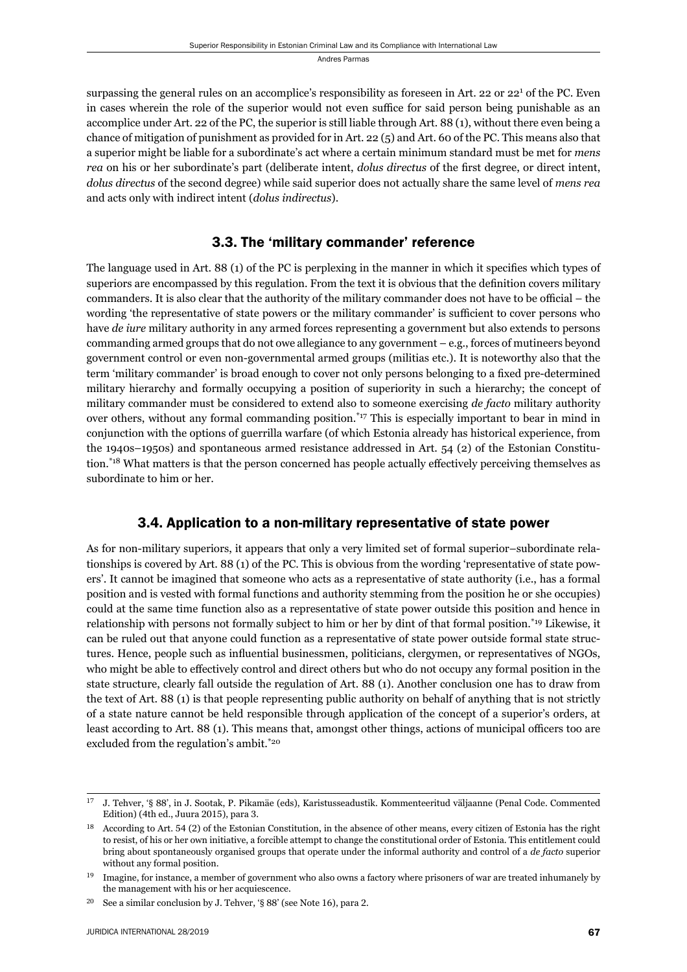surpassing the general rules on an accomplice's responsibility as foreseen in Art. 22 or 22<sup>1</sup> of the PC. Even in cases wherein the role of the superior would not even suffice for said person being punishable as an accomplice under Art. 22 of the PC, the superior is still liable through Art. 88 (1), without there even being a chance of mitigation of punishment as provided for in Art. 22 (5) and Art. 60 of the PC. This means also that a superior might be liable for a subordinate's act where a certain minimum standard must be met for *mens rea* on his or her subordinate's part (deliberate intent, *dolus directus* of the first degree, or direct intent, *dolus directus* of the second degree) while said superior does not actually share the same level of *mens rea* and acts only with indirect intent (*dolus indirectus*).

#### 3.3. The 'military commander' reference

The language used in Art. 88 (1) of the PC is perplexing in the manner in which it specifies which types of superiors are encompassed by this regulation. From the text it is obvious that the definition covers military commanders. It is also clear that the authority of the military commander does not have to be official – the wording 'the representative of state powers or the military commander' is sufficient to cover persons who have *de iure* military authority in any armed forces representing a government but also extends to persons commanding armed groups that do not owe allegiance to any government – e.g., forces of mutineers beyond government control or even non-governmental armed groups (militias etc.). It is noteworthy also that the term 'military commander' is broad enough to cover not only persons belonging to a fixed pre-determined military hierarchy and formally occupying a position of superiority in such a hierarchy; the concept of military commander must be considered to extend also to someone exercising *de facto* military authority over others, without any formal commanding position.\*17 This is especially important to bear in mind in conjunction with the options of guerrilla warfare (of which Estonia already has historical experience, from the 1940s–1950s) and spontaneous armed resistance addressed in Art. 54 (2) of the Estonian Constitution.<sup>\*18</sup> What matters is that the person concerned has people actually effectively perceiving themselves as subordinate to him or her.

## 3.4. Application to a non-military representative of state power

As for non-military superiors, it appears that only a very limited set of formal superior–subordinate relationships is covered by Art. 88 (1) of the PC. This is obvious from the wording 'representative of state powers'. It cannot be imagined that someone who acts as a representative of state authority (i.e., has a formal position and is vested with formal functions and authority stemming from the position he or she occupies) could at the same time function also as a representative of state power outside this position and hence in relationship with persons not formally subject to him or her by dint of that formal position.\*19 Likewise, it can be ruled out that anyone could function as a representative of state power outside formal state structures. Hence, people such as influential businessmen, politicians, clergymen, or representatives of NGOs, who might be able to effectively control and direct others but who do not occupy any formal position in the state structure, clearly fall outside the regulation of Art. 88 (1). Another conclusion one has to draw from the text of Art. 88 (1) is that people representing public authority on behalf of anything that is not strictly of a state nature cannot be held responsible through application of the concept of a superior's orders, at least according to Art. 88 (1). This means that, amongst other things, actions of municipal officers too are excluded from the regulation's ambit.\*20

<sup>&</sup>lt;sup>17</sup> J. Tehver, '§ 88', in J. Sootak, P. Pikamäe (eds), Karistusseadustik. Kommenteeritud väljaanne (Penal Code. Commented Edition) (4th ed., Juura 2015), para 3.

<sup>&</sup>lt;sup>18</sup> According to Art. 54 (2) of the Estonian Constitution, in the absence of other means, every citizen of Estonia has the right to resist, of his or her own initiative, a forcible attempt to change the constitutional order of Estonia. This entitlement could bring about spontaneously organised groups that operate under the informal authority and control of a *de facto* superior without any formal position.

<sup>&</sup>lt;sup>19</sup> Imagine, for instance, a member of government who also owns a factory where prisoners of war are treated inhumanely by the management with his or her acquiescence.

<sup>&</sup>lt;sup>20</sup> See a similar conclusion by J. Tehver, '§ 88' (see Note 16), para 2.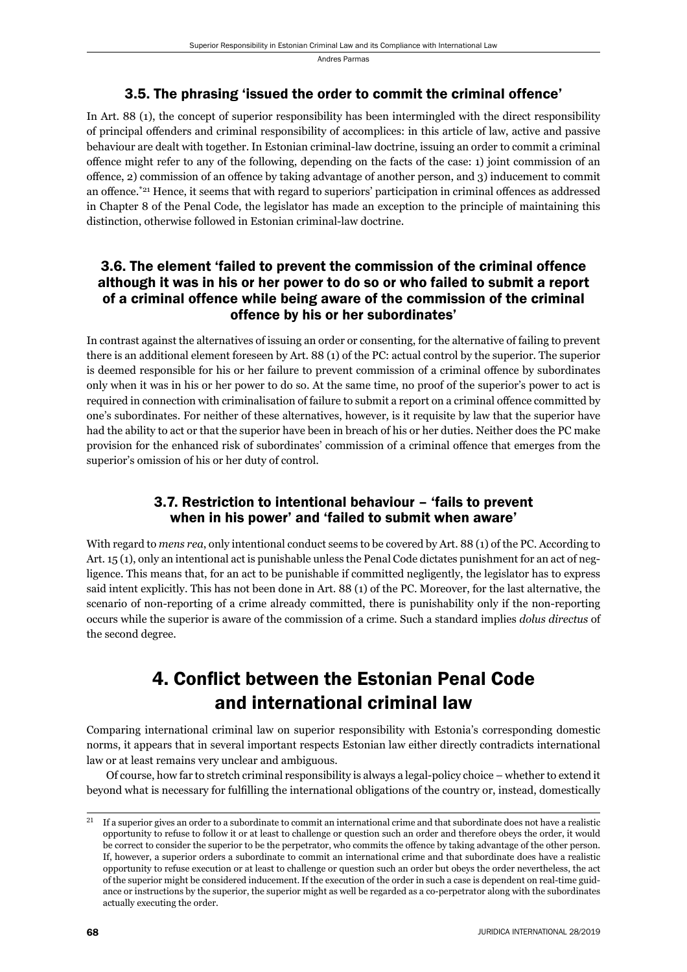#### 3.5. The phrasing 'issued the order to commit the criminal offence'

In Art. 88 (1), the concept of superior responsibility has been intermingled with the direct responsibility of principal offenders and criminal responsibility of accomplices: in this article of law, active and passive behaviour are dealt with together. In Estonian criminal-law doctrine, issuing an order to commit a criminal offence might refer to any of the following, depending on the facts of the case: 1) joint commission of an offence,  $2$ ) commission of an offence by taking advantage of another person, and 3) inducement to commit an offence.<sup> $*_{21}$ </sup> Hence, it seems that with regard to superiors' participation in criminal offences as addressed in Chapter 8 of the Penal Code, the legislator has made an exception to the principle of maintaining this distinction, otherwise followed in Estonian criminal-law doctrine.

#### 3.6. The element 'failed to prevent the commission of the criminal offence although it was in his or her power to do so or who failed to submit a report of a criminal offence while being aware of the commission of the criminal offence by his or her subordinates'

In contrast against the alternatives of issuing an order or consenting, for the alternative of failing to prevent there is an additional element foreseen by Art. 88 (1) of the PC: actual control by the superior. The superior is deemed responsible for his or her failure to prevent commission of a criminal offence by subordinates only when it was in his or her power to do so. At the same time, no proof of the superior's power to act is required in connection with criminalisation of failure to submit a report on a criminal offence committed by one's subordinates. For neither of these alternatives, however, is it requisite by law that the superior have had the ability to act or that the superior have been in breach of his or her duties. Neither does the PC make provision for the enhanced risk of subordinates' commission of a criminal offence that emerges from the superior's omission of his or her duty of control.

#### 3.7. Restriction to intentional behaviour – 'fails to prevent when in his power' and 'failed to submit when aware'

With regard to *mens rea*, only intentional conduct seems to be covered by Art. 88 (1) of the PC. According to Art. 15 (1), only an intentional act is punishable unless the Penal Code dictates punishment for an act of negligence. This means that, for an act to be punishable if committed negligently, the legislator has to express said intent explicitly. This has not been done in Art. 88 (1) of the PC. Moreover, for the last alternative, the scenario of non-reporting of a crime already committed, there is punishability only if the non-reporting occurs while the superior is aware of the commission of a crime. Such a standard implies *dolus directus* of the second degree.

## 4. Conflict between the Estonian Penal Code and international criminal law

Comparing international criminal law on superior responsibility with Estonia's corresponding domestic norms, it appears that in several important respects Estonian law either directly contradicts international law or at least remains very unclear and ambiguous.

Of course, how far to stretch criminal responsibility is always a legal-policy choice – whether to extend it beyond what is necessary for fulfilling the international obligations of the country or, instead, domestically

If a superior gives an order to a subordinate to commit an international crime and that subordinate does not have a realistic opportunity to refuse to follow it or at least to challenge or question such an order and therefore obeys the order, it would be correct to consider the superior to be the perpetrator, who commits the offence by taking advantage of the other person. If, however, a superior orders a subordinate to commit an international crime and that subordinate does have a realistic opportunity to refuse execution or at least to challenge or question such an order but obeys the order nevertheless, the act of the superior might be considered inducement. If the execution of the order in such a case is dependent on real-time guidance or instructions by the superior, the superior might as well be regarded as a co-perpetrator along with the subordinates actually executing the order.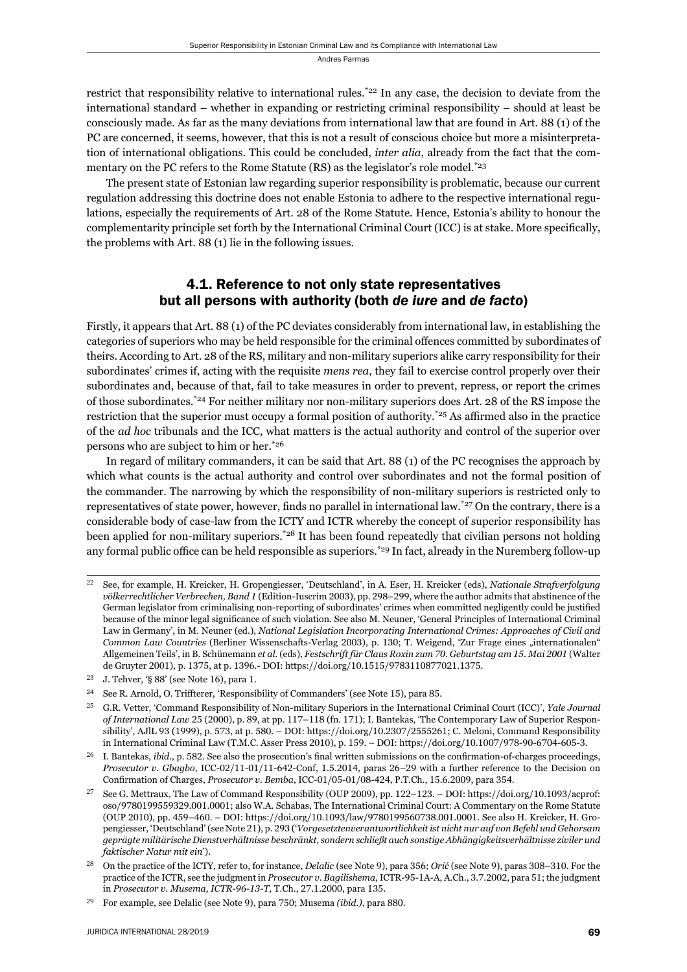restrict that responsibility relative to international rules.<sup>\*22</sup> In any case, the decision to deviate from the international standard – whether in expanding or restricting criminal responsibility – should at least be consciously made. As far as the many deviations from international law that are found in Art. 88 (1) of the PC are concerned, it seems, however, that this is not a result of conscious choice but more a misinterpretation of international obligations. This could be concluded, *inter alia*, already from the fact that the commentary on the PC refers to the Rome Statute (RS) as the legislator's role model.<sup>\*23</sup>

The present state of Estonian law regarding superior responsibility is problematic, because our current regulation addressing this doctrine does not enable Estonia to adhere to the respective international regulations, especially the requirements of Art. 28 of the Rome Statute. Hence, Estonia's ability to honour the complementarity principle set forth by the International Criminal Court (ICC) is at stake. More specifically, the problems with Art. 88 (1) lie in the following issues.

#### 4.1. Reference to not only state representatives but all persons with authority (both *de iure* and *de facto*)

Firstly, it appears that Art. 88 (1) of the PC deviates considerably from international law, in establishing the categories of superiors who may be held responsible for the criminal offences committed by subordinates of theirs. According to Art. 28 of the RS, military and non-military superiors alike carry responsibility for their subordinates' crimes if, acting with the requisite *mens rea*, they fail to exercise control properly over their subordinates and, because of that, fail to take measures in order to prevent, repress, or report the crimes of those subordinates.\*24 For neither military nor non-military superiors does Art. 28 of the RS impose the restriction that the superior must occupy a formal position of authority.<sup>\*25</sup> As affirmed also in the practice of the *ad hoc* tribunals and the ICC, what matters is the actual authority and control of the superior over persons who are subject to him or her.\*26

In regard of military commanders, it can be said that Art. 88 (1) of the PC recognises the approach by which what counts is the actual authority and control over subordinates and not the formal position of the commander. The narrowing by which the responsibility of non-military superiors is restricted only to representatives of state power, however, finds no parallel in international law.<sup>\*27</sup> On the contrary, there is a considerable body of case-law from the ICTY and ICTR whereby the concept of superior responsibility has been applied for non-military superiors.<sup>\*28</sup> It has been found repeatedly that civilian persons not holding any formal public office can be held responsible as superiors.<sup>\*29</sup> In fact, already in the Nuremberg follow-up

ɳɳ See, for example, H. Kreicker, H. Gropengiesser, 'Deutschland', in A. Eser, H. Kreicker (eds), *Nationale Strafverfolgung völkerrechtlicher Verbrechen, Band 1* (Edition-Iuscrim 2003), pp. 298–299, where the author admits that abstinence of the German legislator from criminalising non-reporting of subordinates' crimes when committed negligently could be justified because of the minor legal significance of such violation. See also M. Neuner, 'General Principles of International Criminal Law in Germany', in M. Neuner (ed.), *National Legislation Incorporating International Crimes: Approaches of Civil and Common Law Countries* (Berliner Wissenschafts-Verlag 2003), p. 130; T. Weigend, 'Zur Frage eines "internationalen" Allgemeinen Teils', in B. Schünemann et al. (eds), *Festschrift für Claus Roxin zum 70. Geburtstag am 15. Mai 2001* (Walter de Gruyter 2001), p. 1375, at p. 1396.- DOI: https://doi.org/10.1515/9783110877021.1375.

 $23$  J. Tehver, '§ 88' (see Note 16), para 1.

<sup>&</sup>lt;sup>24</sup> See R. Arnold, O. Triffterer, 'Responsibility of Commanders' (see Note 15), para 85.

ɳɶ G.R. Vetter, 'Command Responsibility of Non-military Superiors in the International Criminal Court (ICC)', *Yale Journal of International Law* 25 (2000), p. 89, at pp. 117-118 (fn. 171); I. Bantekas, 'The Contemporary Law of Superior Responsibility', AJlL 93 (1999), p. 573, at p. 580. – DOI: https://doi.org/10.2307/2555261; C. Meloni, Command Responsibility in International Criminal Law (T.M.C. Asser Press 2010), p. 159. – DOI: https://doi.org/10.1007/978-90-6704-605-3.

<sup>&</sup>lt;sup>26</sup> I. Bantekas, *ibid.*, p. 582. See also the prosecution's final written submissions on the confirmation-of-charges proceedings, *Prosecutor v. Gbagbo, ICC-02/11-01/11-642-Conf, 1.5.2014, paras 26–29 with a further reference to the Decision on* Confirmation of Charges, *Prosecutor v. Bemba*, ICC-01/05-01/08-424, P.T.Ch., 15.6.2009, para 354.

See G. Mettraux, The Law of Command Responsibility (OUP 2009), pp. 122–123. – DOI: https://doi.org/10.1093/acprof: oso/9780199559329.001.0001; also W.A. Schabas, The International Criminal Court: A Commentary on the Rome Statute (OUP 2010), pp. 459-460. – DOI: https://doi.org/10.1093/law/9780199560738.001.0001. See also H. Kreicker, H. Gropengiesser, 'Deutschland' (see Note 21), p. 293 ('*Vorgesetztenverantwortlichkeit ist nicht nur auf von Befehl und Gehorsam geprägte militärische Dienstverhältnisse beschränkt, sondern schließt auch sonstige Abhängigkeitsverhältnisse ziviler und faktischer Natur mit ein*').

<sup>&</sup>lt;sup>28</sup> On the practice of the ICTY, refer to, for instance, *Delalic* (see Note 9), para 356; *Orić* (see Note 9), paras 308–310. For the practice of the ICTR, see the judgment in *Prosecutor v. Bagilishema*, ICTR-95-1A-A, A.Ch., 3.7.2002, para 51; the judgment in *Prosecutor v. Musema, ICTR-96-13-T, T.Ch., 27.1.2000, para 135.* 

<sup>&</sup>lt;sup>29</sup> For example, see Delalic (see Note 9), para 750; Musema *(ibid.)*, para 880.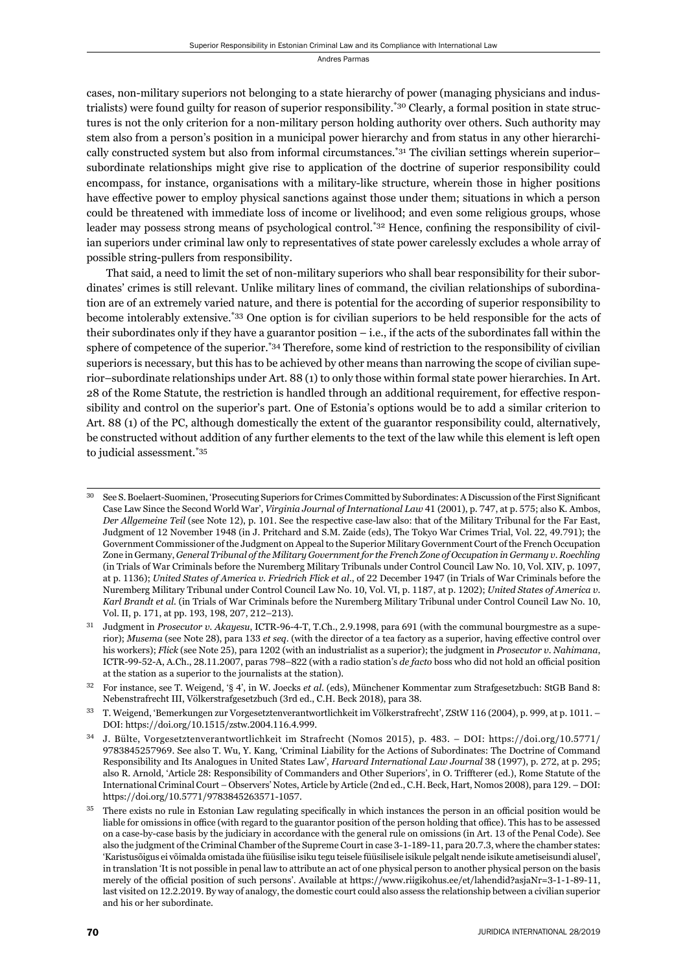cases, non-military superiors not belonging to a state hierarchy of power (managing physicians and industrialists) were found guilty for reason of superior responsibility.<sup>\*30</sup> Clearly, a formal position in state structures is not the only criterion for a non-military person holding authority over others. Such authority may stem also from a person's position in a municipal power hierarchy and from status in any other hierarchically constructed system but also from informal circumstances.\*31 The civilian settings wherein superior– subordinate relationships might give rise to application of the doctrine of superior responsibility could encompass, for instance, organisations with a military-like structure, wherein those in higher positions have effective power to employ physical sanctions against those under them; situations in which a person could be threatened with immediate loss of income or livelihood; and even some religious groups, whose leader may possess strong means of psychological control.<sup>\*32</sup> Hence, confining the responsibility of civilian superiors under criminal law only to representatives of state power carelessly excludes a whole array of possible string-pullers from responsibility.

That said, a need to limit the set of non-military superiors who shall bear responsibility for their subordinates' crimes is still relevant. Unlike military lines of command, the civilian relationships of subordination are of an extremely varied nature, and there is potential for the according of superior responsibility to become intolerably extensive.\*33 One option is for civilian superiors to be held responsible for the acts of their subordinates only if they have a guarantor position – i.e., if the acts of the subordinates fall within the sphere of competence of the superior.<sup>\*34</sup> Therefore, some kind of restriction to the responsibility of civilian superiors is necessary, but this has to be achieved by other means than narrowing the scope of civilian superior–subordinate relationships under Art. 88 (1) to only those within formal state power hierarchies. In Art. 28 of the Rome Statute, the restriction is handled through an additional requirement, for effective responsibility and control on the superior's part. One of Estonia's options would be to add a similar criterion to Art. 88 (1) of the PC, although domestically the extent of the guarantor responsibility could, alternatively, be constructed without addition of any further elements to the text of the law while this element is left open to judicial assessment.\*35

<sup>&</sup>lt;sup>30</sup> See S. Boelaert-Suominen, 'Prosecuting Superiors for Crimes Committed by Subordinates: A Discussion of the First Significant Case Law Since the Second World War', *Virginia Journal of International Law* 41 (2001), p. 747, at p. 575; also K. Ambos, *Der Allgemeine Teil* (see Note 12), p. 101. See the respective case-law also: that of the Military Tribunal for the Far East, Judgment of 12 November 1948 (in J. Pritchard and S.M. Zaide (eds), The Tokyo War Crimes Trial, Vol. 22, 49.791); the Government Commissioner of the Judgment on Appeal to the Superior Military Government Court of the French Occupation Zone in Germany, *General Tribunal of the Military Government for the French Zone of Occupation in Germany v. Roechling* (in Trials of War Criminals before the Nuremberg Military Tribunals under Control Council Law No. 10, Vol. XIV, p. 1097, at p. 1136); *United States of America v. Friedrich Flick et al.*, of 22 December 1947 (in Trials of War Criminals before the Nuremberg Military Tribunal under Control Council Law No. 10, Vol. VI, p. 1187, at p. 1202); *United States of America v. Karl Brandt et al.* (in Trials of War Criminals before the Nuremberg Military Tribunal under Control Council Law No. 10, Vol. II, p. 171, at pp. 193, 198, 207, 212-213).

<sup>&</sup>lt;sup>31</sup> Judgment in *Prosecutor v. Akayesu*, ICTR-96-4-T, T.Ch., 2.9.1998, para 691 (with the communal bourgmestre as a superior); *Musema* (see Note 28), para 133 et seq. (with the director of a tea factory as a superior, having effective control over his workers); *Flick* (see Note 25), para 1202 (with an industrialist as a superior); the judgment in *Prosecutor v. Nahimana*, ICTR-99-52-A, A.Ch., 28.11.2007, paras 798–822 (with a radio station's *de facto* boss who did not hold an official position at the station as a superior to the journalists at the station).

ɴɳ For instance, see T. Weigend, '§ ɵ', in W. Joecks *et al*. (eds), Münchener Kommentar zum Strafgesetzbuch: StGB Band ɹ: Nebenstrafrecht III, Völkerstrafgesetzbuch (3rd ed., C.H. Beck 2018), para 38.

T. Weigend, 'Bemerkungen zur Vorgesetztenverantwortlichkeit im Völkerstrafrecht', ZStW 116 (2004), p. 999, at p. 1011. – DOI: https://doi.org/10.1515/zstw.2004.116.4.999.

<sup>&</sup>lt;sup>34</sup> J. Bülte, Vorgesetztenverantwortlichkeit im Strafrecht (Nomos 2015), p. 483. – DOI: https://doi.org/10.5771/ 9783845257969. See also T. Wu, Y. Kang, 'Criminal Liability for the Actions of Subordinates: The Doctrine of Command Responsibility and Its Analogues in United States Law', *Harvard International Law Journal* 38 (1997), p. 272, at p. 295; also R. Arnold, 'Article 28: Responsibility of Commanders and Other Superiors', in O. Triffterer (ed.), Rome Statute of the International Criminal Court - Observers' Notes, Article by Article (2nd ed., C.H. Beck, Hart, Nomos 2008), para 129. – DOI: https://doi.org/10.5771/9783845263571-1057.

There exists no rule in Estonian Law regulating specifically in which instances the person in an official position would be liable for omissions in office (with regard to the guarantor position of the person holding that office). This has to be assessed on a case-by-case basis by the judiciary in accordance with the general rule on omissions (in Art. 13 of the Penal Code). See also the judgment of the Criminal Chamber of the Supreme Court in case 3-1-189-11, para 20.7.3, where the chamber states: 'Karistusõigus ei võimalda omistada ühe füüsilise isiku tegu teisele füüsilisele isikule pelgalt nende isikute ametiseisundi alusel', in translation 'It is not possible in penal law to attribute an act of one physical person to another physical person on the basis merely of the official position of such persons'. Available at https://www.riigikohus.ee/et/lahendid?asjaNr=3-1-1-89-11, last visited on 12.2.2019. By way of analogy, the domestic court could also assess the relationship between a civilian superior and his or her subordinate.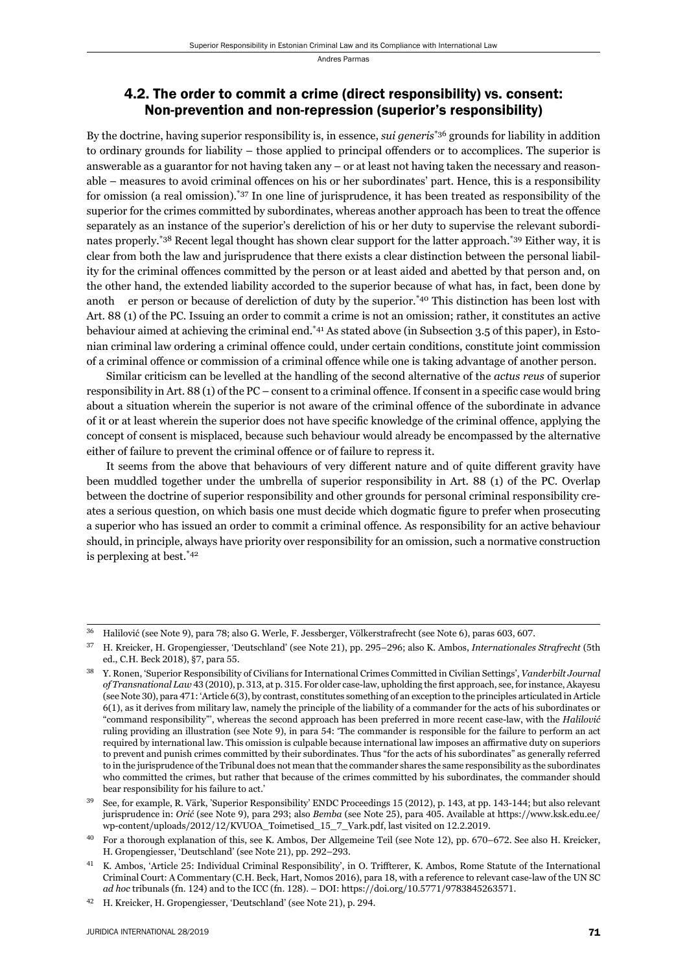#### 4.2. The order to commit a crime (direct responsibility) vs. consent: Non-prevention and non-repression (superior's responsibility)

By the doctrine, having superior responsibility is, in essence, *sui generis*\*36 grounds for liability in addition to ordinary grounds for liability – those applied to principal offenders or to accomplices. The superior is answerable as a guarantor for not having taken any – or at least not having taken the necessary and reasonable – measures to avoid criminal offences on his or her subordinates' part. Hence, this is a responsibility for omission (a real omission).\*37 In one line of jurisprudence, it has been treated as responsibility of the superior for the crimes committed by subordinates, whereas another approach has been to treat the offence separately as an instance of the superior's dereliction of his or her duty to supervise the relevant subordinates properly.\*38 Recent legal thought has shown clear support for the latter approach.\*39 Either way, it is clear from both the law and jurisprudence that there exists a clear distinction between the personal liability for the criminal offences committed by the person or at least aided and abetted by that person and, on the other hand, the extended liability accorded to the superior because of what has, in fact, been done by anoth er person or because of dereliction of duty by the superior.\*40 This distinction has been lost with Art. 88 (1) of the PC. Issuing an order to commit a crime is not an omission; rather, it constitutes an active behaviour aimed at achieving the criminal end.\*41 As stated above (in Subsection 3.5 of this paper), in Estonian criminal law ordering a criminal offence could, under certain conditions, constitute joint commission of a criminal offence or commission of a criminal offence while one is taking advantage of another person.

Similar criticism can be levelled at the handling of the second alternative of the *actus reus* of superior responsibility in Art.  $88(1)$  of the PC – consent to a criminal offence. If consent in a specific case would bring about a situation wherein the superior is not aware of the criminal offence of the subordinate in advance of it or at least wherein the superior does not have specific knowledge of the criminal offence, applying the concept of consent is misplaced, because such behaviour would already be encompassed by the alternative either of failure to prevent the criminal offence or of failure to repress it.

It seems from the above that behaviours of very different nature and of quite different gravity have been muddled together under the umbrella of superior responsibility in Art. 88 (1) of the PC. Overlap between the doctrine of superior responsibility and other grounds for personal criminal responsibility creates a serious question, on which basis one must decide which dogmatic figure to prefer when prosecuting a superior who has issued an order to commit a criminal offence. As responsibility for an active behaviour should, in principle, always have priority over responsibility for an omission, such a normative construction is perplexing at best.\*42

Halilović (see Note 9), para 78; also G. Werle, F. Jessberger, Völkerstrafrecht (see Note 6), paras 603, 607.

<sup>&</sup>lt;sup>37</sup> H. Kreicker, H. Gropengiesser, 'Deutschland' (see Note 21), pp. 295–296; also K. Ambos, *Internationales Strafrecht* (5th ed., C.H. Beck 2018), §7, para 55.

Y. Ronen, 'Superior Responsibility of Civilians for International Crimes Committed in Civilian Settings', *Vanderbilt Journal of Transnational Law* 43 (2010), p. 313, at p. 315. For older case-law, upholding the first approach, see, for instance, Akayesu (see Note 30), para 471: 'Article 6(3), by contrast, constitutes something of an exception to the principles articulated in Article ɷ(ɲ), as it derives from military law, namely the principle of the liability of a commander for the acts of his subordinates or "command responsibility"', whereas the second approach has been preferred in more recent case-law, with the *Halilović* ruling providing an illustration (see Note 9), in para 54: 'The commander is responsible for the failure to perform an act required by international law. This omission is culpable because international law imposes an affirmative duty on superiors to prevent and punish crimes committed by their subordinates. Thus "for the acts of his subordinates" as generally referred to in the jurisprudence of the Tribunal does not mean that the commander shares the same responsibility as the subordinates who committed the crimes, but rather that because of the crimes committed by his subordinates, the commander should bear responsibility for his failure to act.'

See, for example, R. Värk, 'Superior Responsibility' ENDC Proceedings 15 (2012), p. 143, at pp. 143-144; but also relevant jurisprudence in: *Orić* (see Note 9), para 293; also *Bemba* (see Note 25), para 405. Available at https://www.ksk.edu.ee/ wp-content/uploads/2012/12/KVUOA\_Toimetised\_15\_7\_Vark.pdf, last visited on 12.2.2019.

<sup>&</sup>lt;sup>40</sup> For a thorough explanation of this, see K. Ambos, Der Allgemeine Teil (see Note 12), pp. 670–672. See also H. Kreicker, H. Gropengiesser, 'Deutschland' (see Note 21), pp. 292-293.

<sup>&</sup>lt;sup>41</sup> K. Ambos, 'Article 25: Individual Criminal Responsibility', in O. Triffterer, K. Ambos, Rome Statute of the International Criminal Court: A Commentary (C.H. Beck, Hart, Nomos 2016), para 18, with a reference to relevant case-law of the UN SC *ad hoc tribunals (fn. 124) and to the ICC (fn. 128). – DOI: https://doi.org/10.5771/9783845263571.* 

<sup>&</sup>lt;sup>42</sup> H. Kreicker, H. Gropengiesser, 'Deutschland' (see Note 21), p. 294.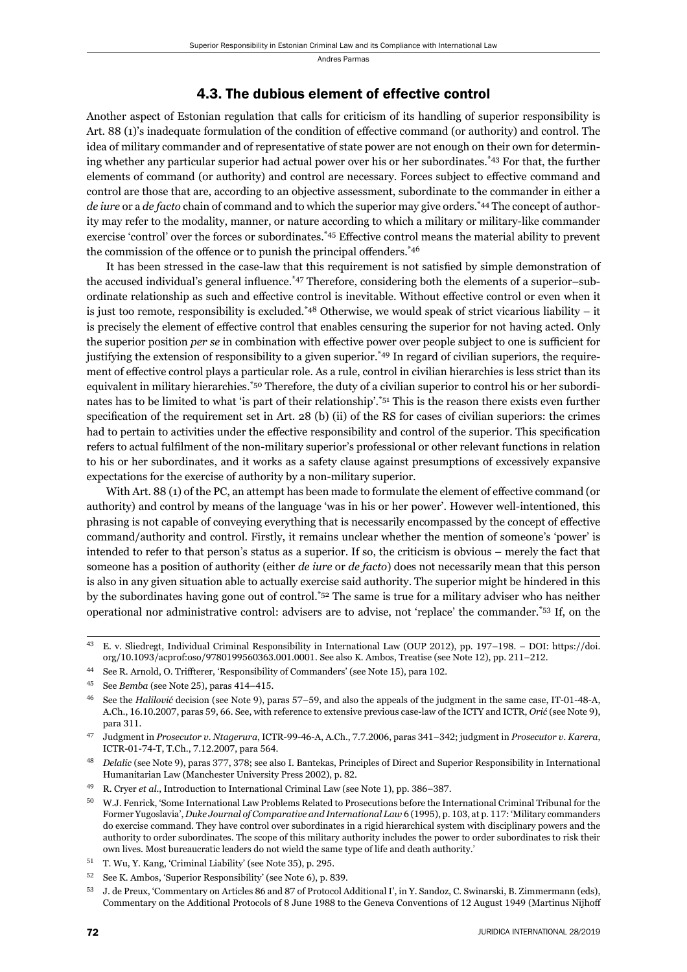#### 4.3. The dubious element of effective control

Another aspect of Estonian regulation that calls for criticism of its handling of superior responsibility is Art. 88 (1)'s inadequate formulation of the condition of effective command (or authority) and control. The idea of military commander and of representative of state power are not enough on their own for determining whether any particular superior had actual power over his or her subordinates.\*43 For that, the further elements of command (or authority) and control are necessary. Forces subject to effective command and control are those that are, according to an objective assessment, subordinate to the commander in either a *de iure* or a *de facto* chain of command and to which the superior may give orders.\*44 The concept of authority may refer to the modality, manner, or nature according to which a military or military-like commander exercise 'control' over the forces or subordinates.<sup>\*45</sup> Effective control means the material ability to prevent the commission of the offence or to punish the principal offenders.<sup>\*46</sup>

It has been stressed in the case-law that this requirement is not satisfied by simple demonstration of the accused individual's general influence.<sup>\*47</sup> Therefore, considering both the elements of a superior–subordinate relationship as such and effective control is inevitable. Without effective control or even when it is just too remote, responsibility is excluded.\*48 Otherwise, we would speak of strict vicarious liability – it is precisely the element of effective control that enables censuring the superior for not having acted. Only the superior position *per se* in combination with effective power over people subject to one is sufficient for justifying the extension of responsibility to a given superior.<sup>\*49</sup> In regard of civilian superiors, the requirement of effective control plays a particular role. As a rule, control in civilian hierarchies is less strict than its equivalent in military hierarchies.\*50 Therefore, the duty of a civilian superior to control his or her subordinates has to be limited to what 'is part of their relationship'.\*51 This is the reason there exists even further specification of the requirement set in Art. 28 (b) (ii) of the RS for cases of civilian superiors: the crimes had to pertain to activities under the effective responsibility and control of the superior. This specification refers to actual fulfilment of the non-military superior's professional or other relevant functions in relation to his or her subordinates, and it works as a safety clause against presumptions of excessively expansive expectations for the exercise of authority by a non-military superior.

With Art. 88 (1) of the PC, an attempt has been made to formulate the element of effective command (or authority) and control by means of the language 'was in his or her power'. However well-intentioned, this phrasing is not capable of conveying everything that is necessarily encompassed by the concept of effective command/authority and control. Firstly, it remains unclear whether the mention of someone's 'power' is intended to refer to that person's status as a superior. If so, the criticism is obvious – merely the fact that someone has a position of authority (either *de iure* or *de facto*) does not necessarily mean that this person is also in any given situation able to actually exercise said authority. The superior might be hindered in this by the subordinates having gone out of control.\*52 The same is true for a military adviser who has neither operational nor administrative control: advisers are to advise, not 'replace' the commander.\*53 If, on the

E. v. Sliedregt, Individual Criminal Responsibility in International Law (OUP 2012), pp. 197-198. – DOI: https://doi. org/10.1093/acprof:oso/9780199560363.001.0001. See also K. Ambos, Treatise (see Note 12), pp. 211-212.

<sup>&</sup>lt;sup>44</sup> See R. Arnold, O. Triffterer, 'Responsibility of Commanders' (see Note 15), para 102.

<sup>&</sup>lt;sup>45</sup> See *Bemba* (see Note 25), paras 414-415.

See the *Halilović* decision (see Note 9), paras  $57-59$ , and also the appeals of the judgment in the same case, IT-01-48-A, A.Ch., 16.10.2007, paras 59, 66. See, with reference to extensive previous case-law of the ICTY and ICTR, *Orić* (see Note 9), para 311.

Judgment in Prosecutor v. Ntagerura, ICTR-99-46-A, A.Ch., 7.7.2006, paras 341-342; judgment in Prosecutor v. Karera, ICTR-01-74-T, T.Ch., 7.12.2007, para 564.

<sup>&</sup>lt;sup>48</sup> *Delalic* (see Note 9), paras 377, 378; see also I. Bantekas, Principles of Direct and Superior Responsibility in International Humanitarian Law (Manchester University Press 2002), p. 82.

R. Cryer et al., Introduction to International Criminal Law (see Note 1), pp. 386-387.

ɶɱ W.J. Fenrick, 'Some International Law Problems Related to Prosecutions before the International Criminal Tribunal for the Former Yugoslavia', *Duke Journal of Comparative and International Law* 6 (1995), p. 103, at p. 117: 'Military commanders do exercise command. They have control over subordinates in a rigid hierarchical system with disciplinary powers and the authority to order subordinates. The scope of this military authority includes the power to order subordinates to risk their own lives. Most bureaucratic leaders do not wield the same type of life and death authority.'

<sup>51</sup> T. Wu, Y. Kang, 'Criminal Liability' (see Note 35), p. 295.

<sup>52</sup> See K. Ambos, 'Superior Responsibility' (see Note 6), p. 839.

<sup>53</sup> J. de Preux, 'Commentary on Articles 86 and 87 of Protocol Additional I', in Y. Sandoz, C. Swinarski, B. Zimmermann (eds), Commentary on the Additional Protocols of 8 June 1988 to the Geneva Conventions of 12 August 1949 (Martinus Nijhoff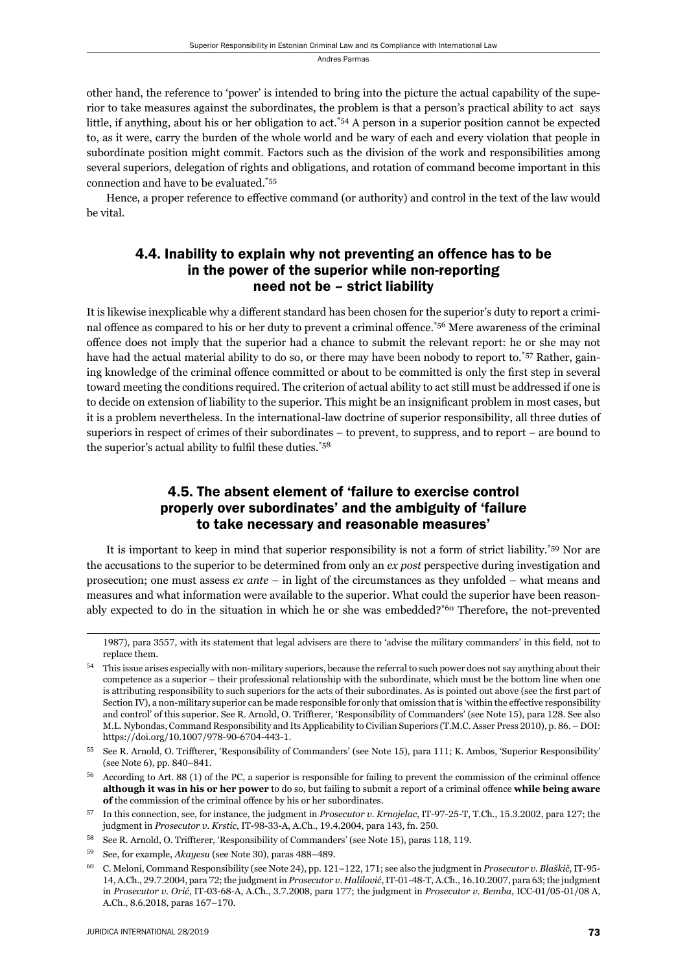other hand, the reference to 'power' is intended to bring into the picture the actual capability of the superior to take measures against the subordinates, the problem is that a person's practical ability to act says little, if anything, about his or her obligation to act.\*54 A person in a superior position cannot be expected to, as it were, carry the burden of the whole world and be wary of each and every violation that people in sub ordinate position might commit. Factors such as the division of the work and responsibilities among several superiors, delegation of rights and obligations, and rotation of command become important in this connection and have to be evaluated.\*55

Hence, a proper reference to effective command (or authority) and control in the text of the law would be vital.

## 4.4. Inability to explain why not preventing an offence has to be in the power of the superior while non-reporting need not be – strict liability

It is likewise inexplicable why a different standard has been chosen for the superior's duty to report a criminal offence as compared to his or her duty to prevent a criminal offence.\*56 Mere awareness of the criminal off ence does not imply that the superior had a chance to submit the relevant report: he or she may not have had the actual material ability to do so, or there may have been nobody to report to.<sup>\*57</sup> Rather, gaining knowledge of the criminal offence committed or about to be committed is only the first step in several toward meeting the conditions required. The criterion of actual ability to act still must be addressed if one is to decide on extension of liability to the superior. This might be an insignificant problem in most cases, but it is a problem nevertheless. In the international-law doctrine of superior responsibility, all three duties of superiors in respect of crimes of their subordinates – to prevent, to suppress, and to report – are bound to the superior's actual ability to fulfil these duties. $*58$ 

#### 4.5. The absent element of 'failure to exercise control properly over subordinates' and the ambiguity of 'failure to take necessary and reasonable measures'

It is important to keep in mind that superior responsibility is not a form of strict liability.\*59 Nor are the accusations to the superior to be determined from only an *ex post* perspective during investigation and prosecution; one must assess *ex ante* – in light of the circumstances as they unfolded – what means and measures and what information were available to the superior. What could the superior have been reasonably expected to do in the situation in which he or she was embedded?\*60 Therefore, the not-prevented

<sup>1987),</sup> para 3557, with its statement that legal advisers are there to 'advise the military commanders' in this field, not to replace them.

This issue arises especially with non-military superiors, because the referral to such power does not say anything about their competence as a superior – their professional relationship with the subordinate, which must be the bottom line when one is attributing responsibility to such superiors for the acts of their subordinates. As is pointed out above (see the first part of Section IV), a non-military superior can be made responsible for only that omission that is 'within the effective responsibility and control' of this superior. See R. Arnold, O. Triffterer, 'Responsibility of Commanders' (see Note 15), para 128. See also M.L. Nybondas, Command Responsibility and Its Applicability to Civilian Superiors (T.M.C. Asser Press 2010), p. 86. – DOI: https://doi.org/10.1007/978-90-6704-443-1.

<sup>55</sup> See R. Arnold, O. Triffterer, 'Responsibility of Commanders' (see Note 15), para 111; K. Ambos, 'Superior Responsibility' (see Note 6), pp. 840-841.

According to Art. 88 (1) of the PC, a superior is responsible for failing to prevent the commission of the criminal offence **although it was in his or her power** to do so, but failing to submit a report of a criminal offence while being aware **of** the commission of the criminal offence by his or her subordinates.

 $^{57}$  In this connection, see, for instance, the judgment in *Prosecutor v. Krnojelac*, IT-97-25-T, T.Ch., 15.3.2002, para 127; the judgment in *Prosecutor v. Krstic*, IT-98-33-A, A.Ch., 19.4.2004, para 143, fn. 250.

<sup>&</sup>lt;sup>58</sup> See R. Arnold, O. Triffterer, 'Responsibility of Commanders' (see Note 15), paras 118, 119.

<sup>59</sup> See, for example, *Akayesu* (see Note 30), paras 488-489.

<sup>&</sup>lt;sup>60</sup> C. Meloni, Command Responsibility (see Note 24), pp. 121–122, 171; see also the judgment in *Prosecutor v. Blaškič*, IT-95-14, A.Ch., 29.7.2004, para 72; the judgment in *Prosecutor v. Halilović*, IT-01-48-T, A.Ch., 16.10.2007, para 63; the judgment in *Prosecutor v. Orić*, IT-03-68-A, A.Ch., 3.7.2008, para 177; the judgment in *Prosecutor v. Bemba*, ICC-01/05-01/08 A, A.Ch., 8.6.2018, paras 167-170.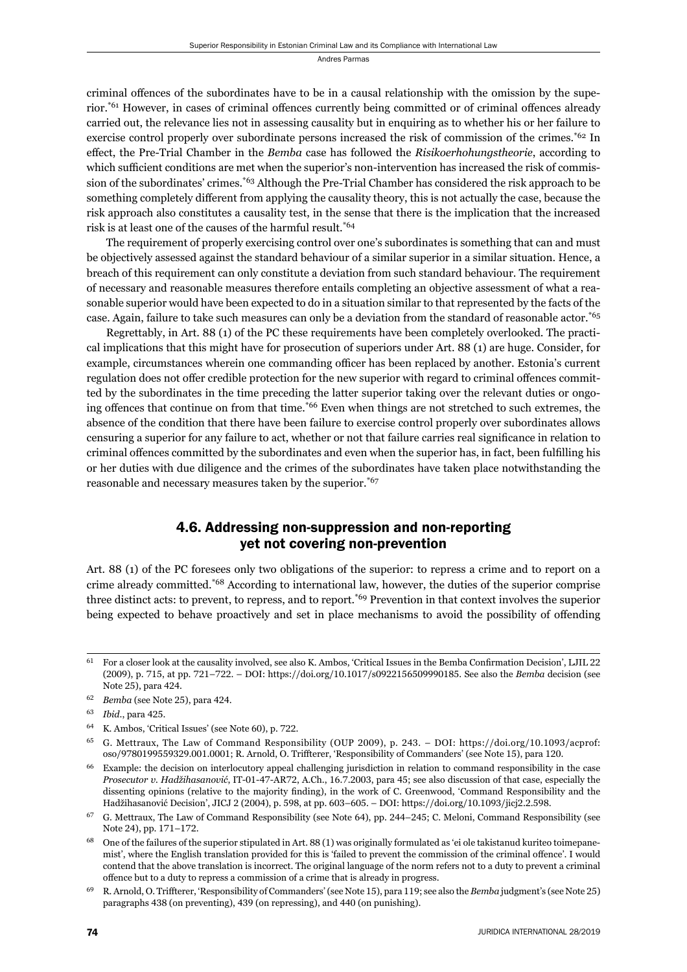criminal offences of the subordinates have to be in a causal relationship with the omission by the superior.<sup>\*61</sup> However, in cases of criminal offences currently being committed or of criminal offences already carried out, the relevance lies not in assessing causality but in enquiring as to whether his or her failure to exercise control properly over subordinate persons increased the risk of commission of the crimes.<sup>\*62</sup> In effect, the Pre-Trial Chamber in the *Bemba* case has followed the *Risikoerhohungstheorie*, according to which sufficient conditions are met when the superior's non-intervention has increased the risk of commission of the subordinates' crimes.<sup>\*63</sup> Although the Pre-Trial Chamber has considered the risk approach to be something completely different from applying the causality theory, this is not actually the case, because the risk approach also constitutes a causality test, in the sense that there is the implication that the increased risk is at least one of the causes of the harmful result.\*64

The requirement of properly exercising control over one's subordinates is something that can and must be objectively assessed against the standard behaviour of a similar superior in a similar situation. Hence, a breach of this requirement can only constitute a deviation from such standard behaviour. The requirement of necessary and reasonable measures therefore entails completing an objective assessment of what a reasonable superior would have been expected to do in a situation similar to that represented by the facts of the case. Again, failure to take such measures can only be a deviation from the standard of reasonable actor.\*65

Regrettably, in Art. 88 (1) of the PC these requirements have been completely overlooked. The practical implications that this might have for prosecution of superiors under Art. 88 (1) are huge. Consider, for example, circumstances wherein one commanding officer has been replaced by another. Estonia's current regulation does not offer credible protection for the new superior with regard to criminal offences committed by the subordinates in the time preceding the latter superior taking over the relevant duties or ongoing offences that continue on from that time.<sup>\*66</sup> Even when things are not stretched to such extremes, the absence of the condition that there have been failure to exercise control properly over subordinates allows censuring a superior for any failure to act, whether or not that failure carries real significance in relation to criminal offences committed by the subordinates and even when the superior has, in fact, been fulfilling his or her duties with due diligence and the crimes of the subordinates have taken place notwithstanding the reasonable and necessary measures taken by the superior.\*67

#### 4.6. Addressing non-suppression and non-reporting yet not covering non-prevention

Art. 88 (1) of the PC foresees only two obligations of the superior: to repress a crime and to report on a crime already committed.\*68 According to international law, however, the duties of the superior comprise three distinct acts: to prevent, to repress, and to report.\*69 Prevention in that context involves the superior being expected to behave proactively and set in place mechanisms to avoid the possibility of offending

 $61$  For a closer look at the causality involved, see also K. Ambos, 'Critical Issues in the Bemba Confirmation Decision', LJIL 22 (2009), p. 715, at pp. 721-722. – DOI: https://doi.org/10.1017/s0922156509990185. See also the *Bemba* decision (see Note 25), para 424.

<sup>&</sup>lt;sup>62</sup> *Bemba* (see Note 25), para 424.

<sup>63</sup> *Ibid.*, para 425.

 $64$  K. Ambos, 'Critical Issues' (see Note 60), p. 722.

G. Mettraux, The Law of Command Responsibility (OUP 2009), p. 243. – DOI: https://doi.org/10.1093/acprof: oso/9780199559329.001.0001; R. Arnold, O. Triffterer, 'Responsibility of Commanders' (see Note 15), para 120.

<sup>&</sup>lt;sup>66</sup> Example: the decision on interlocutory appeal challenging jurisdiction in relation to command responsibility in the case *Prosecutor v. Hadžihasanović*, IT-01-47-AR72, A.Ch., 16.7.2003, para 45; see also discussion of that case, especially the dissenting opinions (relative to the majority finding), in the work of C. Greenwood, 'Command Responsibility and the Hadžihasanović Decision', JICJ 2 (2004), p. 598, at pp. 603–605. – DOI: https://doi.org/10.1093/jicj2.2.598.

G. Mettraux, The Law of Command Responsibility (see Note 64), pp. 244–245; C. Meloni, Command Responsibility (see Note 24), pp. 171-172.

One of the failures of the superior stipulated in Art. 88 (1) was originally formulated as 'ei ole takistanud kuriteo toimepanemist', where the English translation provided for this is 'failed to prevent the commission of the criminal offence'. I would contend that the above translation is incorrect. The original language of the norm refers not to a duty to prevent a criminal offence but to a duty to repress a commission of a crime that is already in progress.

<sup>&</sup>lt;sup>69</sup> R. Arnold, O. Triffterer, 'Responsibility of Commanders' (see Note 15), para 119; see also the *Bemba* judgment's (see Note 25) paragraphs 438 (on preventing), 439 (on repressing), and 440 (on punishing).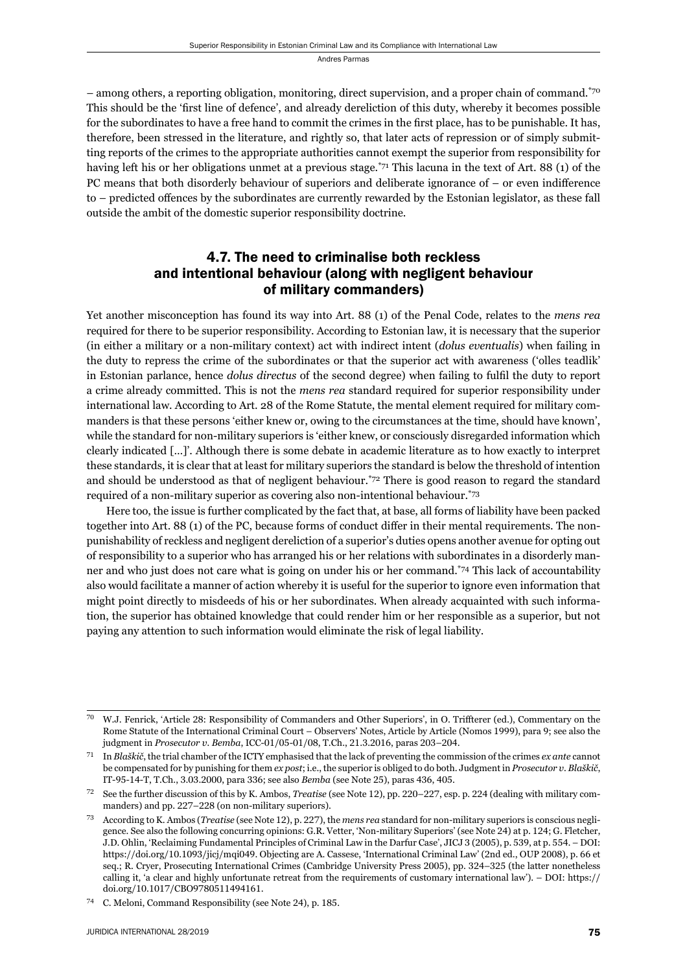– among others, a reporting obligation, monitoring, direct supervision, and a proper chain of command.\*70 This should be the 'first line of defence', and already dereliction of this duty, whereby it becomes possible for the subordinates to have a free hand to commit the crimes in the first place, has to be punishable. It has, therefore, been stressed in the literature, and rightly so, that later acts of repression or of simply submitting reports of the crimes to the appropriate authorities cannot exempt the superior from responsibility for having left his or her obligations unmet at a previous stage.<sup>\*71</sup> This lacuna in the text of Art. 88 (1) of the PC means that both disorderly behaviour of superiors and deliberate ignorance of  $-$  or even indifference to – predicted offences by the subordinates are currently rewarded by the Estonian legislator, as these fall outside the ambit of the domestic superior responsibility doctrine.

#### 4.7. The need to criminalise both reckless and intentional behaviour (along with negligent behaviour of military commanders)

Yet another misconception has found its way into Art. 88 (1) of the Penal Code, relates to the *mens rea* required for there to be superior responsibility. According to Estonian law, it is necessary that the superior (in either a military or a non-military context) act with indirect intent (*dolus eventualis*) when failing in the duty to repress the crime of the subordinates or that the superior act with awareness ('olles teadlik' in Estonian parlance, hence *dolus directus* of the second degree) when failing to fulfi l the duty to report a crime already committed. This is not the *mens rea* standard required for superior responsibility under international law. According to Art. 28 of the Rome Statute, the mental element required for military commanders is that these persons 'either knew or, owing to the circumstances at the time, should have known', while the standard for non-military superiors is 'either knew, or consciously disregarded information which clearly indicated […]'. Although there is some debate in academic literature as to how exactly to interpret these standards, it is clear that at least for military superiors the standard is below the threshold of intention and should be understood as that of negligent behaviour.<sup> $72$ </sup> There is good reason to regard the standard required of a non-military superior as covering also non-intentional behaviour.\*73

Here too, the issue is further complicated by the fact that, at base, all forms of liability have been packed together into Art. 88 (1) of the PC, because forms of conduct differ in their mental requirements. The nonpunishability of reckless and negligent dereliction of a superior's duties opens another avenue for opting out of responsibility to a superior who has arranged his or her relations with subordinates in a disorderly manner and who just does not care what is going on under his or her command.\*74 This lack of accountability also would facilitate a manner of action whereby it is useful for the superior to ignore even information that might point directly to misdeeds of his or her subordinates. When already acquainted with such information, the superior has obtained knowledge that could render him or her responsible as a superior, but not paying any attention to such information would eliminate the risk of legal liability.

W.J. Fenrick, 'Article 28: Responsibility of Commanders and Other Superiors', in O. Triffterer (ed.), Commentary on the Rome Statute of the International Criminal Court – Observers' Notes, Article by Article (Nomos 1999), para 9; see also the judgment in *Prosecutor v. Bemba*, ICC-01/05-01/08, T.Ch., 21.3.2016, paras 203-204.

ɸɲ In *Blaškič*, the trial chamber of the ICTY emphasised that the lack of preventing the commission of the crimes *ex ante* cannot be compensated for by punishing for them *ex post*; i.e., the superior is obliged to do both. Judgment in *Prosecutor v. Blaškič*, IT-95-14-T, T.Ch., 3.03.2000, para 336; see also *Bemba* (see Note 25), paras 436, 405.

<sup>&</sup>lt;sup>72</sup> See the further discussion of this by K. Ambos, *Treatise* (see Note 12), pp. 220–227, esp. p. 224 (dealing with military commanders) and pp. 227–228 (on non-military superiors).

<sup>&</sup>lt;sup>73</sup> According to K. Ambos (*Treatise* (see Note 12), p. 227), the *mens rea* standard for non-military superiors is conscious negligence. See also the following concurring opinions: G.R. Vetter, 'Non-military Superiors' (see Note 24) at p. 124; G. Fletcher, J.D. Ohlin, 'Reclaiming Fundamental Principles of Criminal Law in the Darfur Case', JICJ 3 (2005), p. 539, at p. 554. – DOI: https://doi.org/10.1093/jicj/mqi049. Objecting are A. Cassese, 'International Criminal Law' (2nd ed., OUP 2008), p. 66 et seq.; R. Cryer, Prosecuting International Crimes (Cambridge University Press 2005), pp. 324–325 (the latter nonetheless calling it, 'a clear and highly unfortunate retreat from the requirements of customary international law'). – DOI: https:// doi.org/10.1017/CBO9780511494161.

<sup>&</sup>lt;sup>74</sup> C. Meloni, Command Responsibility (see Note 24), p. 185.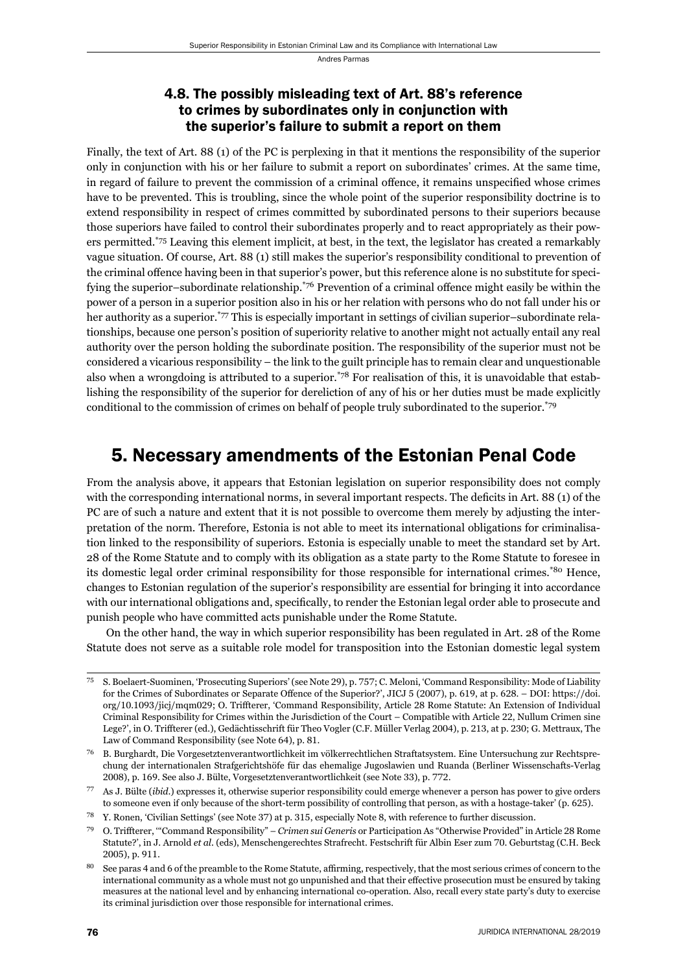#### 4.8. The possibly misleading text of Art. 88's reference to crimes by subordinates only in conjunction with the superior's failure to submit a report on them

Finally, the text of Art. 88 (1) of the PC is perplexing in that it mentions the responsibility of the superior only in conjunction with his or her failure to submit a report on subordinates' crimes. At the same time, in regard of failure to prevent the commission of a criminal offence, it remains unspecified whose crimes have to be prevented. This is troubling, since the whole point of the superior responsibility doctrine is to extend responsibility in respect of crimes committed by subordinated persons to their superiors because those superiors have failed to control their subordinates properly and to react appropriately as their powers permitted.\*75 Leaving this element implicit, at best, in the text, the legislator has created a remarkably vague situation. Of course, Art. 88 (1) still makes the superior's responsibility conditional to prevention of the criminal offence having been in that superior's power, but this reference alone is no substitute for specifying the superior–subordinate relationship.<sup>\*76</sup> Prevention of a criminal offence might easily be within the power of a person in a superior position also in his or her relation with persons who do not fall under his or her authority as a superior.<sup>\*77</sup> This is especially important in settings of civilian superior–subordinate relationships, because one person's position of superiority relative to another might not actually entail any real authority over the person holding the subordinate position. The responsibility of the superior must not be considered a vicarious responsibility – the link to the guilt principle has to remain clear and unquestionable also when a wrongdoing is attributed to a superior.<sup> $78$ </sup> For realisation of this, it is unavoidable that establishing the responsibility of the superior for dereliction of any of his or her duties must be made explicitly conditional to the commission of crimes on behalf of people truly subordinated to the superior.\*79

## 5. Necessary amendments of the Estonian Penal Code

From the analysis above, it appears that Estonian legislation on superior responsibility does not comply with the corresponding international norms, in several important respects. The deficits in Art. 88 (1) of the PC are of such a nature and extent that it is not possible to overcome them merely by adjusting the interpretation of the norm. Therefore, Estonia is not able to meet its international obligations for criminalisation linked to the responsibility of superiors. Estonia is especially unable to meet the standard set by Art. 28 of the Rome Statute and to comply with its obligation as a state party to the Rome Statute to foresee in its domestic legal order criminal responsibility for those responsible for international crimes.\*80 Hence, changes to Estonian regulation of the superior's responsibility are essential for bringing it into accordance with our international obligations and, specifically, to render the Estonian legal order able to prosecute and punish people who have committed acts punishable under the Rome Statute.

On the other hand, the way in which superior responsibility has been regulated in Art. 28 of the Rome Statute does not serve as a suitable role model for transposition into the Estonian domestic legal system

S. Boelaert-Suominen, 'Prosecuting Superiors' (see Note 29), p. 757; C. Meloni, 'Command Responsibility: Mode of Liability for the Crimes of Subordinates or Separate Offence of the Superior?', JICJ 5 (2007), p. 619, at p. 628. – DOI: https://doi. org/10.1093/jicj/mqm029; O. Triffterer, 'Command Responsibility, Article 28 Rome Statute: An Extension of Individual Criminal Responsibility for Crimes within the Jurisdiction of the Court – Compatible with Article 22, Nullum Crimen sine Lege?', in O. Triffterer (ed.), Gedächtisschrift für Theo Vogler (C.F. Müller Verlag 2004), p. 213, at p. 230; G. Mettraux, The Law of Command Responsibility (see Note 64), p. 81.

<sup>&</sup>lt;sup>76</sup> B. Burghardt, Die Vorgesetztenverantwortlichkeit im völkerrechtlichen Straftatsystem. Eine Untersuchung zur Rechtsprechung der internationalen Strafgerichtshöfe für das ehemalige Jugoslawien und Ruanda (Berliner Wissenschafts-Verlag 2008), p. 169. See also J. Bülte, Vorgesetztenverantwortlichkeit (see Note 33), p. 772.

ɸɸ As J. Bülte (*ibid*.) expresses it, otherwise superior responsibility could emerge whenever a person has power to give orders to someone even if only because of the short-term possibility of controlling that person, as with a hostage-taker' (p. 625).

Y. Ronen, 'Civilian Settings' (see Note 37) at p. 315, especially Note 8, with reference to further discussion.

<sup>&</sup>lt;sup>79</sup> O. Triffterer, "Command Responsibility" – *Crimen sui Generis* or Participation As "Otherwise Provided" in Article 28 Rome Statute?', in J. Arnold et al. (eds), Menschengerechtes Strafrecht. Festschrift für Albin Eser zum 70. Geburtstag (C.H. Beck 2005), p. 911.

See paras 4 and 6 of the preamble to the Rome Statute, affirming, respectively, that the most serious crimes of concern to the international community as a whole must not go unpunished and that their effective prosecution must be ensured by taking measures at the national level and by enhancing international co-operation. Also, recall every state party's duty to exercise its criminal jurisdiction over those responsible for international crimes.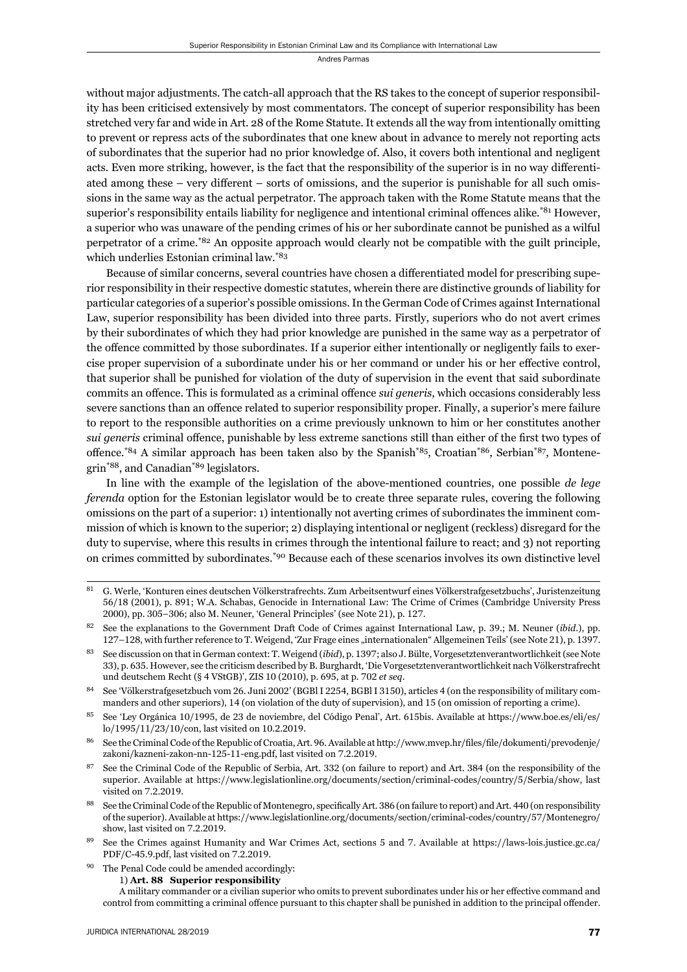without major adjustments. The catch-all approach that the RS takes to the concept of superior responsibility has been criticised extensively by most commentators. The concept of superior responsibility has been stretched very far and wide in Art. 28 of the Rome Statute. It extends all the way from intentionally omitting to prevent or repress acts of the subordinates that one knew about in advance to merely not reporting acts of subordinates that the superior had no prior knowledge of. Also, it covers both intentional and negligent acts. Even more striking, however, is the fact that the responsibility of the superior is in no way differentiated among these – very different – sorts of omissions, and the superior is punishable for all such omissions in the same way as the actual perpetrator. The approach taken with the Rome Statute means that the superior's responsibility entails liability for negligence and intentional criminal offences alike.<sup>\*81</sup> However, a superior who was unaware of the pending crimes of his or her subordinate cannot be punished as a wilful perpetrator of a crime.\*82 An opposite approach would clearly not be compatible with the guilt principle, which underlies Estonian criminal law.\*83

Because of similar concerns, several countries have chosen a differentiated model for prescribing superior responsibility in their respective domestic statutes, wherein there are distinctive grounds of liability for particular categories of a superior's possible omissions. In the German Code of Crimes against International Law, superior responsibility has been divided into three parts. Firstly, superiors who do not avert crimes by their subordinates of which they had prior knowledge are punished in the same way as a perpetrator of the offence committed by those subordinates. If a superior either intentionally or negligently fails to exercise proper supervision of a subordinate under his or her command or under his or her effective control, that superior shall be punished for violation of the duty of supervision in the event that said subordinate commits an offence. This is formulated as a criminal offence *sui generis*, which occasions considerably less severe sanctions than an offence related to superior responsibility proper. Finally, a superior's mere failure to report to the responsible authorities on a crime previously unknown to him or her constitutes another *sui generis* criminal offence, punishable by less extreme sanctions still than either of the first two types of offence.\*84 A similar approach has been taken also by the Spanish\*85, Croatian\*86, Serbian\*87, Montenegrin\*88, and Canadian\*89 legislators.

In line with the example of the legislation of the above-mentioned countries, one possible *de lege ferenda* option for the Estonian legislator would be to create three separate rules, covering the following omissions on the part of a superior: 1) intentionally not averting crimes of subordinates the imminent commission of which is known to the superior; 2) displaying intentional or negligent (reckless) disregard for the duty to supervise, where this results in crimes through the intentional failure to react; and 3) not reporting on crimes committed by subordinates.\*90 Because each of these scenarios involves its own distinctive level

ɹɲ G. Werle, 'Konturen eines deutschen Völkerstrafrechts. Zum Arbeitsentwurf eines Völkerstrafgesetzbuchs', Juristenzeitung ɶɷ/ɲɹ (ɳɱɱɲ), p. ɹɺɲ; W.A. Schabas, Genocide in International Law: The Crime of Crimes (Cambridge University Press 2000), pp. 305-306; also M. Neuner, 'General Principles' (see Note 21), p. 127.

See the explanations to the Government Draft Code of Crimes against International Law, p. 39.; M. Neuner (*ibid.*), pp. 127–128, with further reference to T. Weigend, 'Zur Frage eines "internationalen" Allgemeinen Teils' (see Note 21), p. 1397.

See discussion on that in German context: T. Weigend (*ibid*), p. 1397; also J. Bülte, Vorgesetztenverantwortlichkeit (see Note ɴɴ), p. ɷɴɶ. However, see the criticism described by B. Burghardt, 'Die Vorgesetztenverantwortlichkeit nach Völkerstrafrecht und deutschem Recht (§ 4 VStGB)', ZIS 10 (2010), p. 695, at p. 702 et seq.

<sup>&</sup>lt;sup>84</sup> See 'Völkerstrafgesetzbuch vom 26. Juni 2002' (BGBl I 2254, BGBl I 3150), articles 4 (on the responsibility of military commanders and other superiors), 14 (on violation of the duty of supervision), and 15 (on omission of reporting a crime).

 $85$  See 'Ley Orgánica 10/1995, de 23 de noviembre, del Código Penal', Art. 615bis. Available at https://www.boe.es/eli/es/ lo/1995/11/23/10/con, last visited on 10.2.2019.

<sup>&</sup>lt;sup>86</sup> See the Criminal Code of the Republic of Croatia, Art. 96. Available at http://www.mvep.hr/files/file/dokumenti/prevodenje/ zakoni/kazneni-zakon-nn-125-11-eng.pdf, last visited on 7.2.2019.

<sup>&</sup>lt;sup>87</sup> See the Criminal Code of the Republic of Serbia, Art. 332 (on failure to report) and Art. 384 (on the responsibility of the superior. Available at https://www.legislationline.org/documents/section/criminal-codes/country/5/Serbia/show, last visited on 7.2.2019.

See the Criminal Code of the Republic of Montenegro, specifically Art. 386 (on failure to report) and Art. 440 (on responsibility of the superior). Available at https://www.legislationline.org/documents/section/criminal-codes/country/57/Montenegro/ show, last visited on 7.2.2019.

See the Crimes against Humanity and War Crimes Act, sections 5 and 7. Available at https://laws-lois.justice.gc.ca/ PDF/C-45.9.pdf, last visited on 7.2.2019.

<sup>&</sup>lt;sup>90</sup> The Penal Code could be amended accordingly:

ɲ) **Art. ɹɹ Superior responsibility**

A military commander or a civilian superior who omits to prevent subordinates under his or her effective command and control from committing a criminal offence pursuant to this chapter shall be punished in addition to the principal offender.